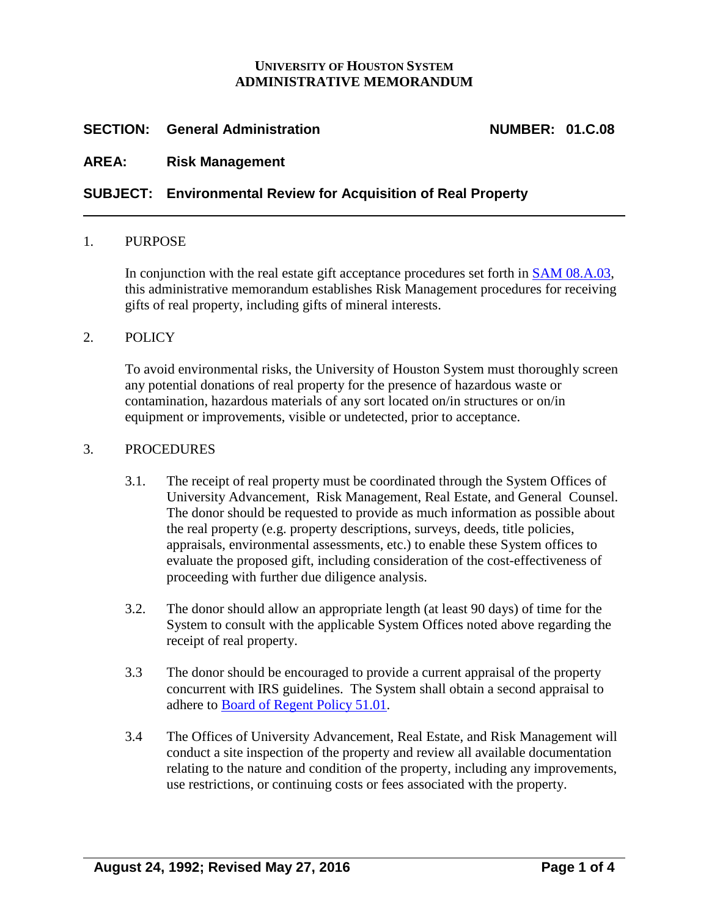### **UNIVERSITY OF HOUSTON SYSTEM ADMINISTRATIVE MEMORANDUM**

# **SECTION: General Administration NUMBER: 01.C.08**

# **AREA: Risk Management**

# **SUBJECT: Environmental Review for Acquisition of Real Property**

#### 1. PURPOSE

In conjunction with the real estate gift acceptance procedures set forth in **SAM 08.A.03**, this administrative memorandum establishes Risk Management procedures for receiving gifts of real property, including gifts of mineral interests.

#### 2. POLICY

To avoid environmental risks, the University of Houston System must thoroughly screen any potential donations of real property for the presence of hazardous waste or contamination, hazardous materials of any sort located on/in structures or on/in equipment or improvements, visible or undetected, prior to acceptance.

### 3. PROCEDURES

- 3.1. The receipt of real property must be coordinated through the System Offices of University Advancement, Risk Management, Real Estate, and General Counsel. The donor should be requested to provide as much information as possible about the real property (e.g. property descriptions, surveys, deeds, title policies, appraisals, environmental assessments, etc.) to enable these System offices to evaluate the proposed gift, including consideration of the cost-effectiveness of proceeding with further due diligence analysis.
- 3.2. The donor should allow an appropriate length (at least 90 days) of time for the System to consult with the applicable System Offices noted above regarding the receipt of real property.
- 3.3 The donor should be encouraged to provide a current appraisal of the property concurrent with IRS guidelines. The System shall obtain a second appraisal to adhere to [Board of Regent Policy 51.01.](http://www.uhsystem.edu/board-of-regents/policies/index.php#SectionVI)
- 3.4 The Offices of University Advancement, Real Estate, and Risk Management will conduct a site inspection of the property and review all available documentation relating to the nature and condition of the property, including any improvements, use restrictions, or continuing costs or fees associated with the property.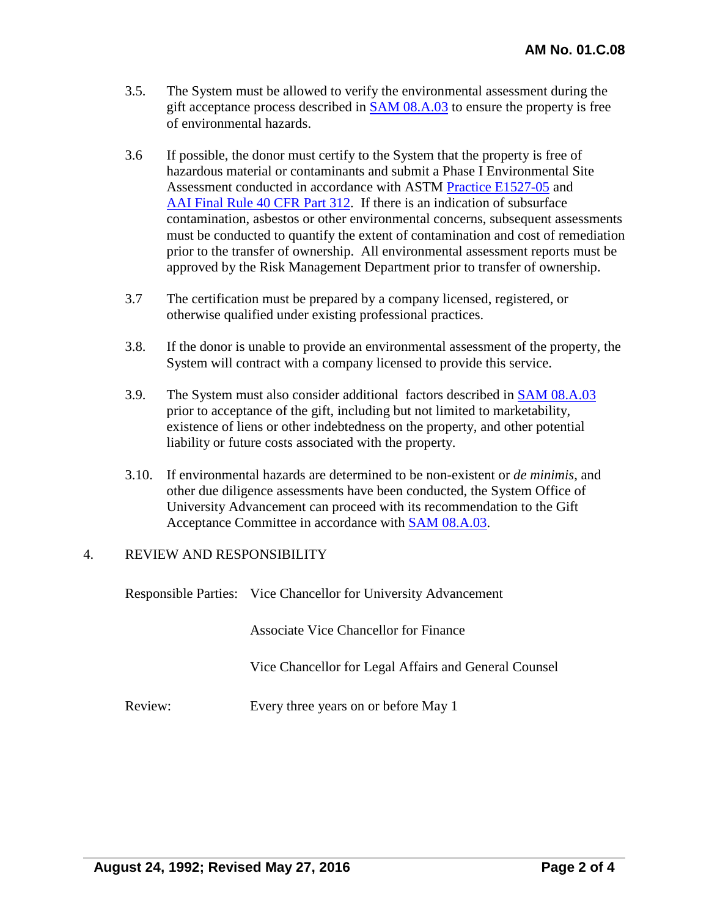- 3.5. The System must be allowed to verify the environmental assessment during the gift acceptance process described in [SAM 08.A.03](http://www.uh.edu/af/universityservices/policies/sam/8InsAdvancement/8A3.pdf) to ensure the property is free of environmental hazards.
- 3.6 If possible, the donor must certify to the System that the property is free of hazardous material or contaminants and submit a Phase I Environmental Site Assessment conducted in accordance with ASTM [Practice E1527-05](http://www.astm.org/Standards/E1527.htm) and [AAI Final Rule 40 CFR Part 312.](http://frwebgate.access.gpo.gov/cgi-bin/get-cfr.cgi?TITLE=40&PART=312&SUBPART=C&TYPE=TEXT) If there is an indication of subsurface contamination, asbestos or other environmental concerns, subsequent assessments must be conducted to quantify the extent of contamination and cost of remediation prior to the transfer of ownership. All environmental assessment reports must be approved by the Risk Management Department prior to transfer of ownership.
- 3.7 The certification must be prepared by a company licensed, registered, or otherwise qualified under existing professional practices.
- 3.8. If the donor is unable to provide an environmental assessment of the property, the System will contract with a company licensed to provide this service.
- 3.9. The System must also consider additional factors described in [SAM 08.A.03](http://www.uh.edu/af/universityservices/policies/sam/8InsAdvancement/8A3.pdf) prior to acceptance of the gift, including but not limited to marketability, existence of liens or other indebtedness on the property, and other potential liability or future costs associated with the property.
- 3.10. If environmental hazards are determined to be non-existent or *de minimis*, and other due diligence assessments have been conducted, the System Office of University Advancement can proceed with its recommendation to the Gift Acceptance Committee in accordance with [SAM 08.A.03.](http://www.uh.edu/af/universityservices/policies/sam/8InsAdvancement/8A3.pdf)

# 4. REVIEW AND RESPONSIBILITY

Responsible Parties: Vice Chancellor for University Advancement

Associate Vice Chancellor for Finance

Vice Chancellor for Legal Affairs and General Counsel

Review: Every three years on or before May 1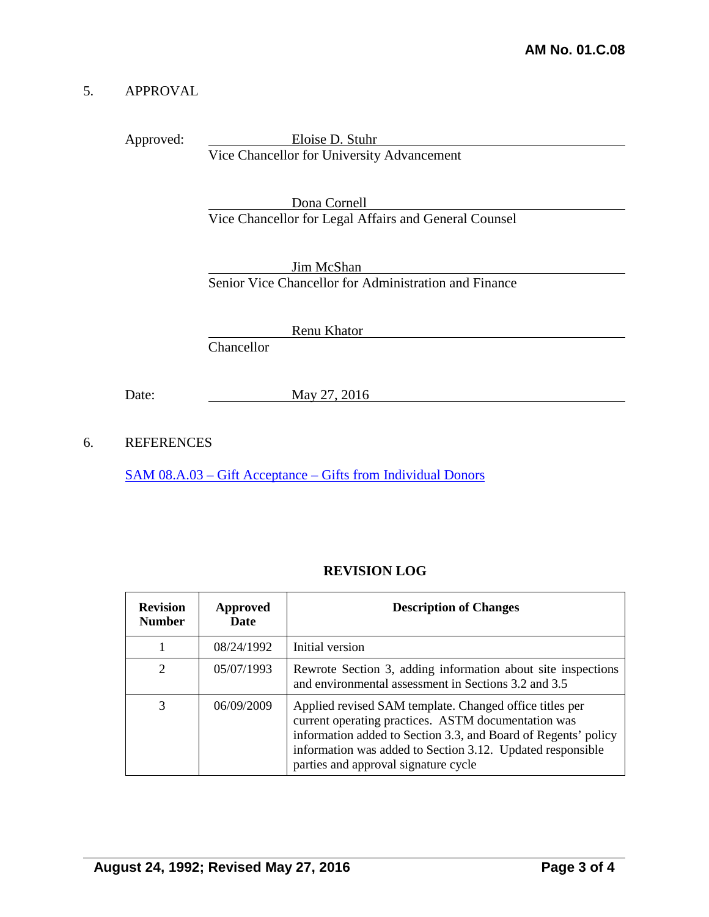### 5. APPROVAL

Approved: Eloise D. Stuhr Vice Chancellor for University Advancement

> Dona Cornell Vice Chancellor for Legal Affairs and General Counsel

> Jim McShan Senior Vice Chancellor for Administration and Finance

> > Renu Khator

**Chancellor** 

Date: May 27, 2016

6. REFERENCES

SAM 08.A.03 – Gift Acceptance – [Gifts from Individual Donors](http://www.uh.edu/af/universityservices/policies/sam/8InsAdvancement/8A3.pdf)

# **REVISION LOG**

| <b>Revision</b><br><b>Number</b> | Approved<br>Date | <b>Description of Changes</b>                                                                                                                                                                                                                                                          |
|----------------------------------|------------------|----------------------------------------------------------------------------------------------------------------------------------------------------------------------------------------------------------------------------------------------------------------------------------------|
|                                  | 08/24/1992       | Initial version                                                                                                                                                                                                                                                                        |
| $\mathcal{D}_{\mathcal{L}}$      | 05/07/1993       | Rewrote Section 3, adding information about site inspections<br>and environmental assessment in Sections 3.2 and 3.5                                                                                                                                                                   |
| 3                                | 06/09/2009       | Applied revised SAM template. Changed office titles per<br>current operating practices. ASTM documentation was<br>information added to Section 3.3, and Board of Regents' policy<br>information was added to Section 3.12. Updated responsible<br>parties and approval signature cycle |